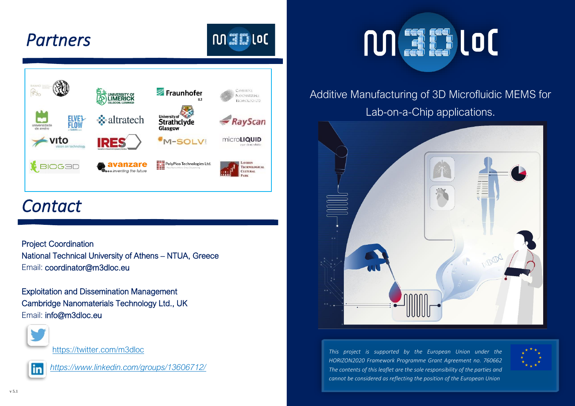## *Partners*



 $101.317$  (OC)

## *Contact*

Project Coordination National Technical University of Athens – NTUA, Greece Email: [coordinator@m3dloc.eu](mailto:coordinator@m3dloc.eu) 

Exploitation and Dissemination Management Cambridge Nanomaterials Technology Ltd., UK Email[: info@m3dloc.eu](mailto:info@m3dloc.eu)



<https://twitter.com/m3dloc>



*<https://www.linkedin.com/groups/13606712/>*

# **MEDIOC**

#### Additive Manufacturing of 3D Microfluidic MEMS for Lab-on-a-Chip applications.



*This project is supported by the European Union under the HORIZON2020 Framework Programme Grant Agreement no. 760662 The contents of this leaflet are the sole responsibility of the parties and cannot be considered as reflecting the position of the European Union*



M3DLoC